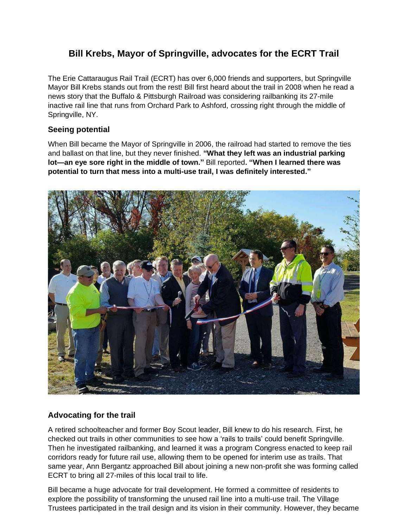## **Bill Krebs, Mayor of Springville, advocates for the ECRT Trail**

The Erie Cattaraugus Rail Trail (ECRT) has over 6,000 friends and supporters, but Springville Mayor Bill Krebs stands out from the rest! Bill first heard about the trail in 2008 when he read a news story that the Buffalo & Pittsburgh Railroad was considering railbanking its 27-mile inactive rail line that runs from Orchard Park to Ashford, crossing right through the middle of Springville, NY.

## **Seeing potential**

When Bill became the Mayor of Springville in 2006, the railroad had started to remove the ties and ballast on that line, but they never finished. **"What they left was an industrial parking lot—an eye sore right in the middle of town."** Bill reported**. "When I learned there was potential to turn that mess into a multi-use trail, I was definitely interested."**



## **Advocating for the trail**

A retired schoolteacher and former Boy Scout leader, Bill knew to do his research. First, he checked out trails in other communities to see how a 'rails to trails' could benefit Springville. Then he investigated railbanking, and learned it was a program Congress enacted to keep rail corridors ready for future rail use, allowing them to be opened for interim use as trails. That same year, Ann Bergantz approached Bill about joining a new non-profit she was forming called ECRT to bring all 27-miles of this local trail to life.

Bill became a huge advocate for trail development. He formed a committee of residents to explore the possibility of transforming the unused rail line into a multi-use trail. The Village Trustees participated in the trail design and its vision in their community. However, they became